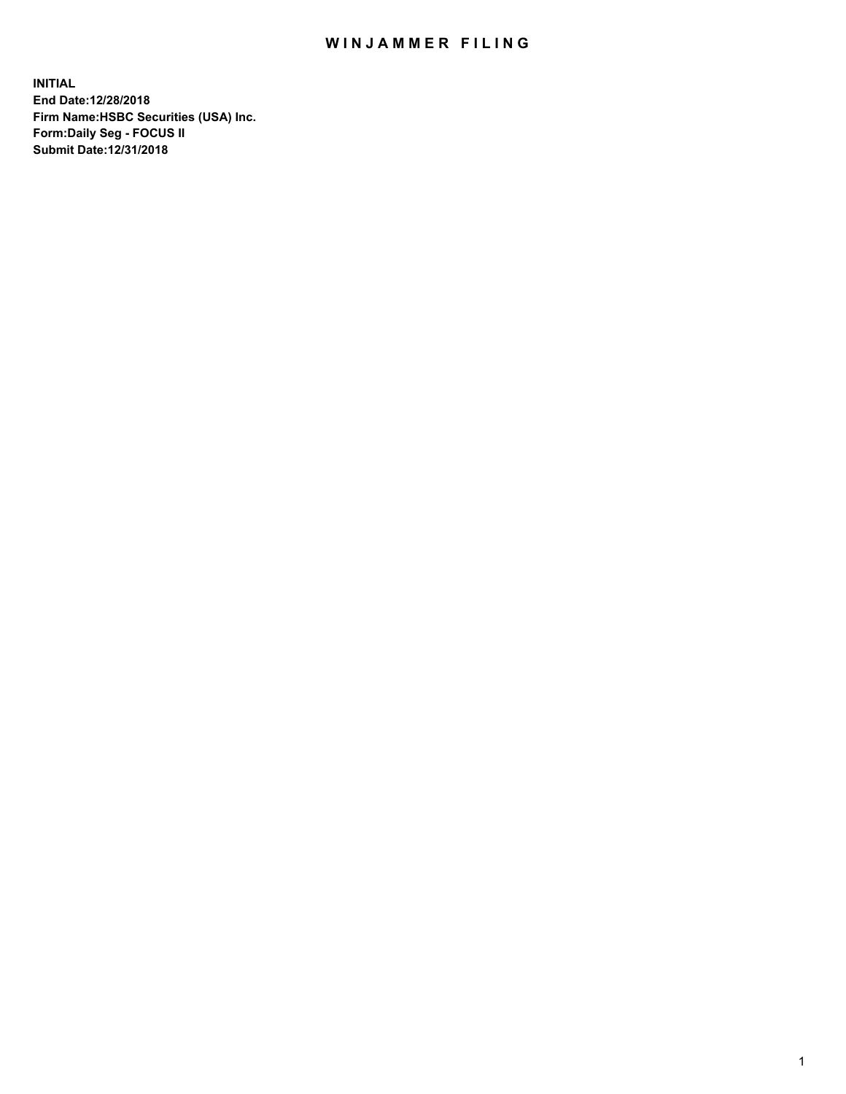## WIN JAMMER FILING

**INITIAL End Date:12/28/2018 Firm Name:HSBC Securities (USA) Inc. Form:Daily Seg - FOCUS II Submit Date:12/31/2018**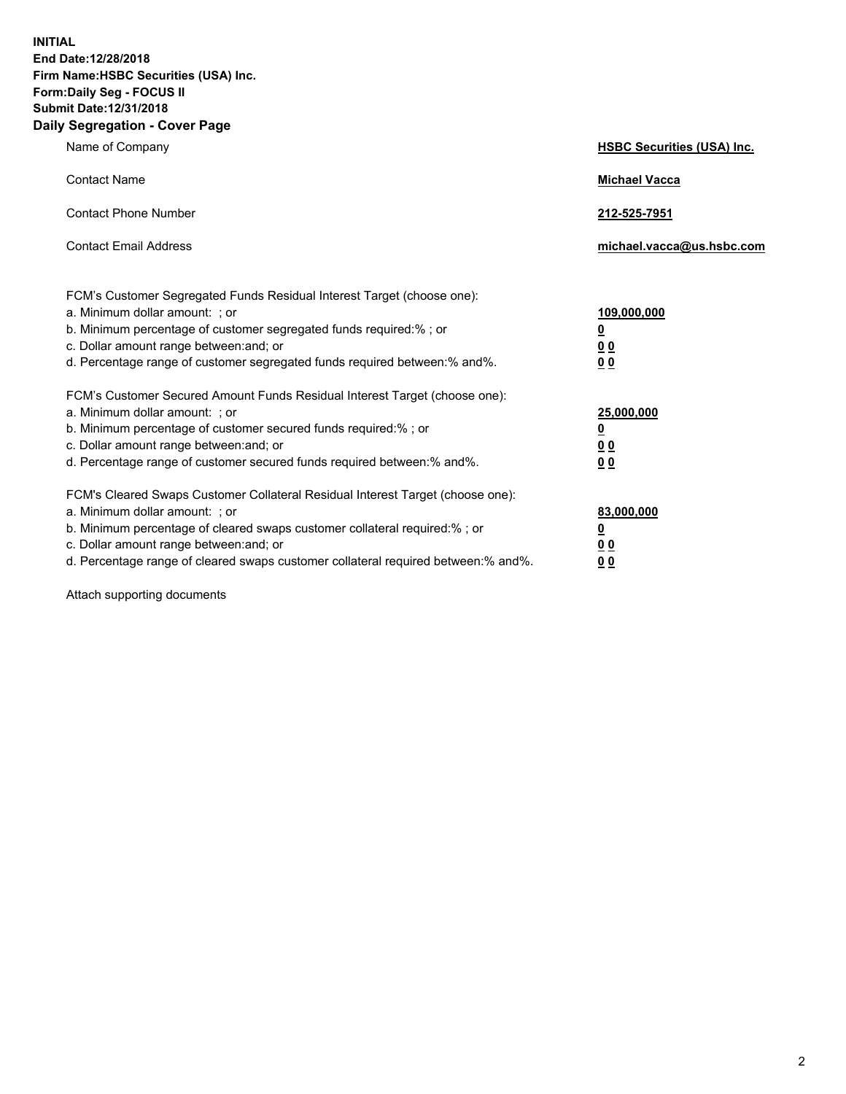**INITIAL End Date:12/28/2018 Firm Name:HSBC Securities (USA) Inc. Form:Daily Seg - FOCUS II Submit Date:12/31/2018 Daily Segregation - Cover Page**

| Name of Company                                                                                                                                                                                                                                                                                                                | <b>HSBC Securities (USA) Inc.</b>                          |
|--------------------------------------------------------------------------------------------------------------------------------------------------------------------------------------------------------------------------------------------------------------------------------------------------------------------------------|------------------------------------------------------------|
| <b>Contact Name</b>                                                                                                                                                                                                                                                                                                            | <b>Michael Vacca</b>                                       |
| <b>Contact Phone Number</b>                                                                                                                                                                                                                                                                                                    | 212-525-7951                                               |
| <b>Contact Email Address</b>                                                                                                                                                                                                                                                                                                   | michael.vacca@us.hsbc.com                                  |
| FCM's Customer Segregated Funds Residual Interest Target (choose one):<br>a. Minimum dollar amount: ; or<br>b. Minimum percentage of customer segregated funds required:% ; or<br>c. Dollar amount range between: and; or<br>d. Percentage range of customer segregated funds required between:% and%.                         | 109,000,000<br>₫<br>0 <sub>0</sub><br>0 <sub>0</sub>       |
| FCM's Customer Secured Amount Funds Residual Interest Target (choose one):<br>a. Minimum dollar amount: ; or<br>b. Minimum percentage of customer secured funds required:% ; or<br>c. Dollar amount range between: and; or<br>d. Percentage range of customer secured funds required between: % and %.                         | 25,000,000<br><u>0</u><br>0 <sub>0</sub><br>0 <sub>0</sub> |
| FCM's Cleared Swaps Customer Collateral Residual Interest Target (choose one):<br>a. Minimum dollar amount: ; or<br>b. Minimum percentage of cleared swaps customer collateral required:% ; or<br>c. Dollar amount range between: and; or<br>d. Percentage range of cleared swaps customer collateral required between:% and%. | 83,000,000<br><u>0</u><br><u>00</u><br>00                  |

Attach supporting documents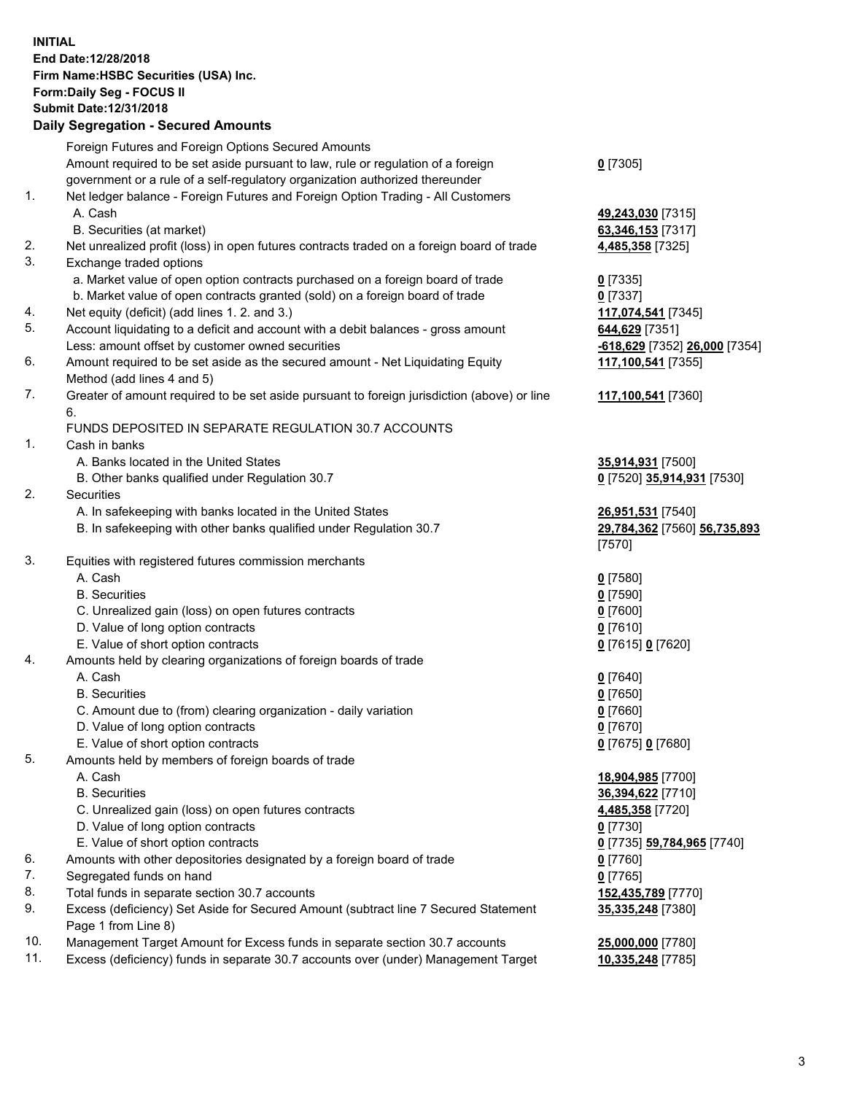**INITIAL End Date:12/28/2018 Firm Name:HSBC Securities (USA) Inc. Form:Daily Seg - FOCUS II Submit Date:12/31/2018 Daily Segregation - Secured Amounts** Foreign Futures and Foreign Options Secured Amounts Amount required to be set aside pursuant to law, rule or regulation of a foreign government or a rule of a self-regulatory organization authorized thereunder **0** [7305] 1. Net ledger balance - Foreign Futures and Foreign Option Trading - All Customers A. Cash **49,243,030** [7315] B. Securities (at market) **63,346,153** [7317] 2. Net unrealized profit (loss) in open futures contracts traded on a foreign board of trade **4,485,358** [7325] 3. Exchange traded options a. Market value of open option contracts purchased on a foreign board of trade **0** [7335] b. Market value of open contracts granted (sold) on a foreign board of trade **0** [7337] 4. Net equity (deficit) (add lines 1. 2. and 3.) **117,074,541** [7345] 5. Account liquidating to a deficit and account with a debit balances - gross amount **644,629** [7351] Less: amount offset by customer owned securities **-618,629** [7352] **26,000** [7354] 6. Amount required to be set aside as the secured amount - Net Liquidating Equity Method (add lines 4 and 5) **117,100,541** [7355] 7. Greater of amount required to be set aside pursuant to foreign jurisdiction (above) or line 6. **117,100,541** [7360] FUNDS DEPOSITED IN SEPARATE REGULATION 30.7 ACCOUNTS 1. Cash in banks A. Banks located in the United States **35,914,931** [7500] B. Other banks qualified under Regulation 30.7 **0** [7520] **35,914,931** [7530] 2. Securities A. In safekeeping with banks located in the United States **26,951,531** [7540] B. In safekeeping with other banks qualified under Regulation 30.7 **29,784,362** [7560] **56,735,893** [7570] 3. Equities with registered futures commission merchants A. Cash **0** [7580] B. Securities **0** [7590] C. Unrealized gain (loss) on open futures contracts **0** [7600] D. Value of long option contracts **0** [7610] E. Value of short option contracts **0** [7615] **0** [7620] 4. Amounts held by clearing organizations of foreign boards of trade A. Cash **0** [7640] B. Securities **0** [7650] C. Amount due to (from) clearing organization - daily variation **0** [7660] D. Value of long option contracts **0** [7670] E. Value of short option contracts **0** [7675] **0** [7680] 5. Amounts held by members of foreign boards of trade A. Cash **18,904,985** [7700] B. Securities **36,394,622** [7710] C. Unrealized gain (loss) on open futures contracts **4,485,358** [7720] D. Value of long option contracts **0** [7730] E. Value of short option contracts **0** [7735] **59,784,965** [7740] 6. Amounts with other depositories designated by a foreign board of trade **0** [7760] 7. Segregated funds on hand **0** [7765] 8. Total funds in separate section 30.7 accounts **152,435,789** [7770] 9. Excess (deficiency) Set Aside for Secured Amount (subtract line 7 Secured Statement **35,335,248** [7380]

Page 1 from Line 8)

10. Management Target Amount for Excess funds in separate section 30.7 accounts **25,000,000** [7780] 11. Excess (deficiency) funds in separate 30.7 accounts over (under) Management Target **10,335,248** [7785]

3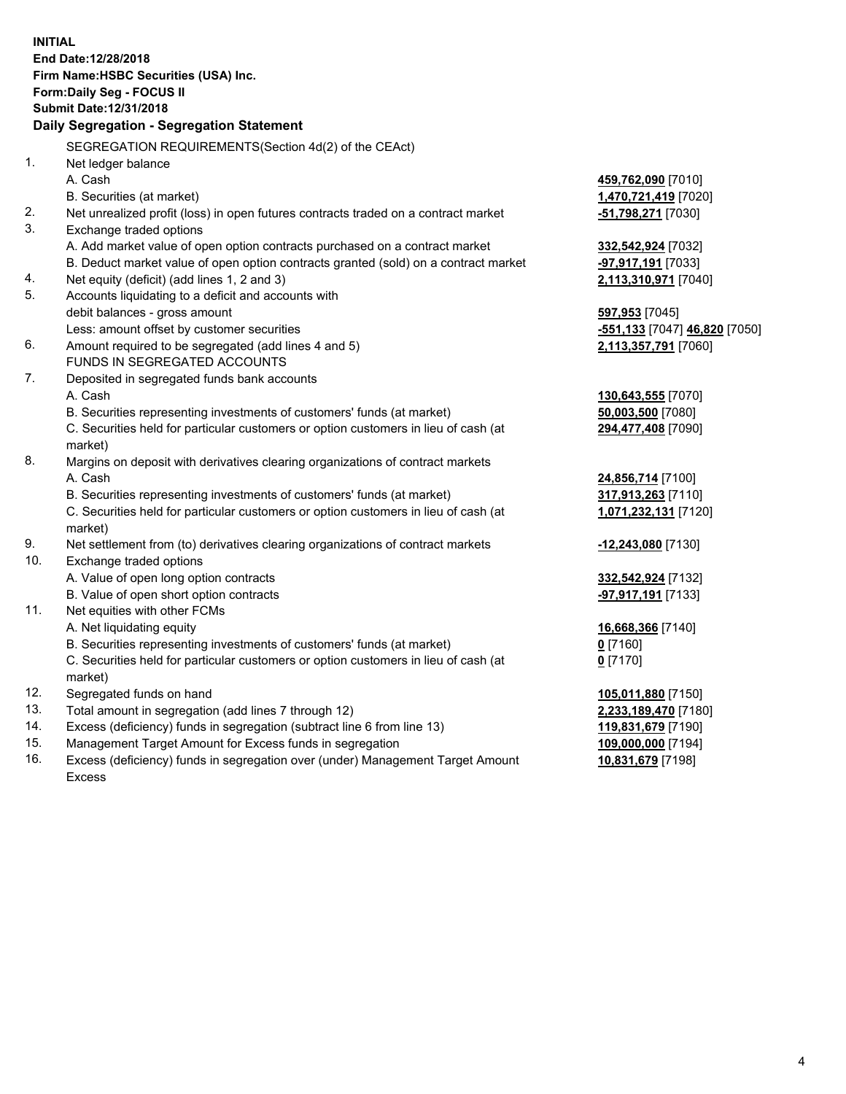**INITIAL End Date:12/28/2018 Firm Name:HSBC Securities (USA) Inc. Form:Daily Seg - FOCUS II Submit Date:12/31/2018 Daily Segregation - Segregation Statement** SEGREGATION REQUIREMENTS(Section 4d(2) of the CEAct) 1. Net ledger balance A. Cash **459,762,090** [7010] B. Securities (at market) **1,470,721,419** [7020] 2. Net unrealized profit (loss) in open futures contracts traded on a contract market **-51,798,271** [7030] 3. Exchange traded options A. Add market value of open option contracts purchased on a contract market **332,542,924** [7032] B. Deduct market value of open option contracts granted (sold) on a contract market **-97,917,191** [7033] 4. Net equity (deficit) (add lines 1, 2 and 3) **2,113,310,971** [7040] 5. Accounts liquidating to a deficit and accounts with debit balances - gross amount **597,953** [7045] Less: amount offset by customer securities **-551,133** [7047] **46,820** [7050] 6. Amount required to be segregated (add lines 4 and 5) **2,113,357,791** [7060] FUNDS IN SEGREGATED ACCOUNTS 7. Deposited in segregated funds bank accounts A. Cash **130,643,555** [7070] B. Securities representing investments of customers' funds (at market) **50,003,500** [7080] C. Securities held for particular customers or option customers in lieu of cash (at market) **294,477,408** [7090] 8. Margins on deposit with derivatives clearing organizations of contract markets A. Cash **24,856,714** [7100] B. Securities representing investments of customers' funds (at market) **317,913,263** [7110] C. Securities held for particular customers or option customers in lieu of cash (at market) **1,071,232,131** [7120] 9. Net settlement from (to) derivatives clearing organizations of contract markets **-12,243,080** [7130] 10. Exchange traded options A. Value of open long option contracts **332,542,924** [7132] B. Value of open short option contracts **-97,917,191** [7133] 11. Net equities with other FCMs A. Net liquidating equity **16,668,366** [7140] B. Securities representing investments of customers' funds (at market) **0** [7160] C. Securities held for particular customers or option customers in lieu of cash (at market) **0** [7170] 12. Segregated funds on hand **105,011,880** [7150] 13. Total amount in segregation (add lines 7 through 12) **2,233,189,470** [7180] 14. Excess (deficiency) funds in segregation (subtract line 6 from line 13) **119,831,679** [7190] 15. Management Target Amount for Excess funds in segregation **109,000,000** [7194]

16. Excess (deficiency) funds in segregation over (under) Management Target Amount Excess

**10,831,679** [7198]